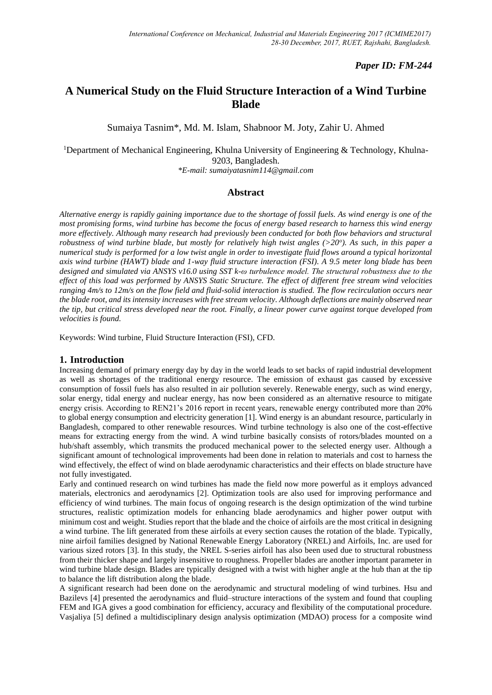# *Paper ID: FM-244*

# **A Numerical Study on the Fluid Structure Interaction of a Wind Turbine Blade**

Sumaiya Tasnim\*, Md. M. Islam, Shabnoor M. Joty, Zahir U. Ahmed

<sup>1</sup>Department of Mechanical Engineering, Khulna University of Engineering & Technology, Khulna-9203, Bangladesh.

*\*E-mail: sumaiyatasnim114@gmail.com*

## **Abstract**

*Alternative energy is rapidly gaining importance due to the shortage of fossil fuels. As wind energy is one of the most promising forms, wind turbine has become the focus of energy based research to harness this wind energy more effectively. Although many research had previously been conducted for both flow behaviors and structural robustness of wind turbine blade, but mostly for relatively high twist angles (>20<sup>o</sup> ). As such, in this paper a numerical study is performed for a low twist angle in order to investigate fluid flows around a typical horizontal axis wind turbine (HAWT) blade and 1-way fluid structure interaction (FSI). A 9.5 meter long blade has been designed and simulated via ANSYS v16.0 using SST k-ω turbulence model. The structural robustness due to the effect of this load was performed by ANSYS Static Structure. The effect of different free stream wind velocities ranging 4m/s to 12m/s on the flow field and fluid-solid interaction is studied. The flow recirculation occurs near the blade root, and its intensity increases with free stream velocity. Although deflections are mainly observed near the tip, but critical stress developed near the root. Finally, a linear power curve against torque developed from velocities is found.*

Keywords: Wind turbine, Fluid Structure Interaction (FSI), CFD.

### **1. Introduction**

Increasing demand of primary energy day by day in the world leads to set backs of rapid industrial development as well as shortages of the traditional energy resource. The emission of exhaust gas caused by excessive consumption of fossil fuels has also resulted in air pollution severely. Renewable energy, such as wind energy, solar energy, tidal energy and nuclear energy, has now been considered as an alternative resource to mitigate energy crisis. According to REN21's 2016 report in recent years, renewable energy contributed more than 20% to global energy consumption and electricity generation [1]. Wind energy is an abundant resource, particularly in Bangladesh, compared to other renewable resources. Wind turbine technology is also one of the cost-effective means for extracting energy from the wind. A wind turbine basically consists of rotors/blades mounted on a hub/shaft assembly, which transmits the produced mechanical power to the selected energy user. Although a significant amount of technological improvements had been done in relation to materials and cost to harness the wind effectively, the effect of wind on blade aerodynamic characteristics and their effects on blade structure have not fully investigated.

Early and continued research on wind turbines has made the field now more powerful as it employs advanced materials, electronics and aerodynamics [2]. Optimization tools are also used for improving performance and efficiency of wind turbines. The main focus of ongoing research is the design optimization of the wind turbine structures, realistic optimization models for enhancing blade aerodynamics and higher power output with minimum cost and weight. Studies report that the blade and the choice of airfoils are the most critical in designing a wind turbine. The lift generated from these airfoils at every section causes the rotation of the blade. Typically, nine airfoil families designed by National Renewable Energy Laboratory (NREL) and Airfoils, Inc. are used for various sized rotors [3]. In this study, the NREL S-series airfoil has also been used due to structural robustness from their thicker shape and largely insensitive to roughness. Propeller blades are another important parameter in wind turbine blade design. Blades are typically designed with a twist with higher angle at the hub than at the tip to balance the lift distribution along the blade.

A significant research had been done on the aerodynamic and structural modeling of wind turbines. Hsu and Bazilevs [4] presented the aerodynamics and fluid–structure interactions of the system and found that coupling FEM and IGA gives a good combination for efficiency, accuracy and flexibility of the computational procedure. Vasjaliya [5] defined a multidisciplinary design analysis optimization (MDAO) process for a composite wind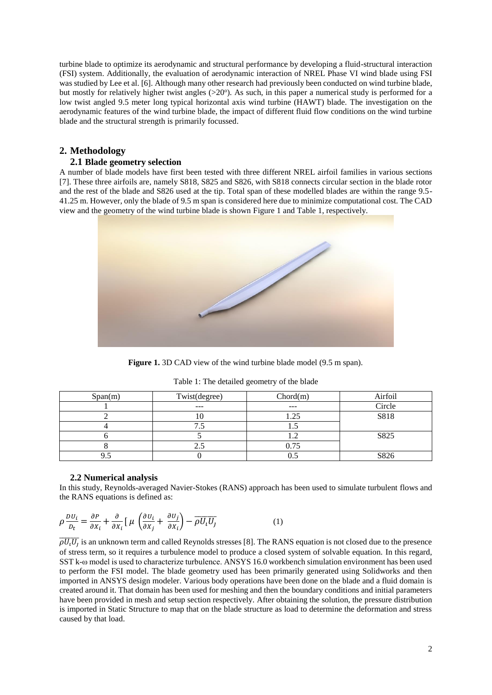turbine blade to optimize its aerodynamic and structural performance by developing a fluid-structural interaction (FSI) system. Additionally, the evaluation of aerodynamic interaction of NREL Phase VI wind blade using FSI was studied by Lee et al. [6]. Although many other research had previously been conducted on wind turbine blade, but mostly for relatively higher twist angles  $(>20^\circ)$ . As such, in this paper a numerical study is performed for a low twist angled 9.5 meter long typical horizontal axis wind turbine (HAWT) blade. The investigation on the aerodynamic features of the wind turbine blade, the impact of different fluid flow conditions on the wind turbine blade and the structural strength is primarily focussed.

# **2. Methodology**

### **2.1 Blade geometry selection**

A number of blade models have first been tested with three different NREL airfoil families in various sections [7]. These three airfoils are, namely S818, S825 and S826, with S818 connects circular section in the blade rotor and the rest of the blade and S826 used at the tip. Total span of these modelled blades are within the range 9.5- 41.25 m. However, only the blade of 9.5 m span is considered here due to minimize computational cost. The CAD view and the geometry of the wind turbine blade is shown Figure 1 and Table 1, respectively.



**Figure 1.** 3D CAD view of the wind turbine blade model (9.5 m span).

| Span(m) | Twist(degree) | Chord(m) | Airfoil |
|---------|---------------|----------|---------|
|         | $---$         | $---$    | Circle  |
|         |               | . 25     | S818    |
|         |               |          |         |
|         |               |          | S825    |
|         |               | 0.75     |         |
|         |               |          | S826    |

Table 1: The detailed geometry of the blade

#### **2.2 Numerical analysis**

In this study, Reynolds-averaged Navier-Stokes (RANS) approach has been used to simulate turbulent flows and the RANS equations is defined as:

$$
\rho \frac{DU_i}{D_t} = \frac{\partial P}{\partial X_i} + \frac{\partial}{\partial X_i} \left[ \mu \left( \frac{\partial U_i}{\partial X_j} + \frac{\partial U_j}{\partial X_i} \right) - \overline{\rho U_i U_j} \right] \tag{1}
$$

 $\overline{\rho U_t U_j}$  is an unknown term and called Reynolds stresses [8]. The RANS equation is not closed due to the presence of stress term, so it requires a turbulence model to produce a closed system of solvable equation. In this regard, SST k-ω model is used to characterize turbulence. ANSYS 16.0 workbench simulation environment has been used to perform the FSI model. The blade geometry used has been primarily generated using Solidworks and then imported in ANSYS design modeler. Various body operations have been done on the blade and a fluid domain is created around it. That domain has been used for meshing and then the boundary conditions and initial parameters have been provided in mesh and setup section respectively. After obtaining the solution, the pressure distribution is imported in Static Structure to map that on the blade structure as load to determine the deformation and stress caused by that load.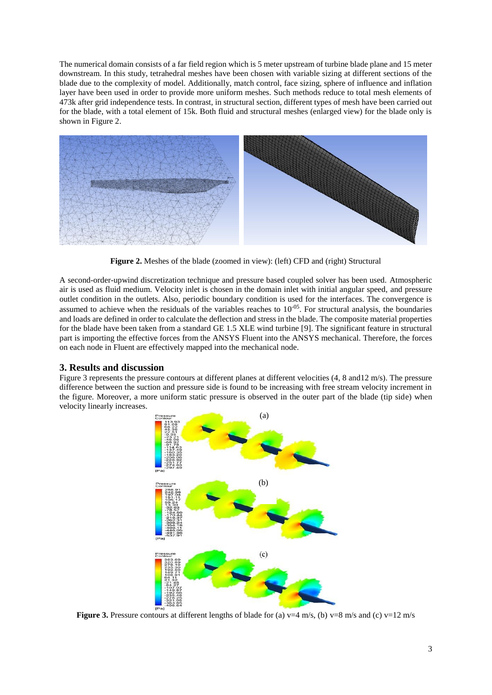The numerical domain consists of a far field region which is 5 meter upstream of turbine blade plane and 15 meter downstream. In this study, tetrahedral meshes have been chosen with variable sizing at different sections of the blade due to the complexity of model. Additionally, match control, face sizing, sphere of influence and inflation layer have been used in order to provide more uniform meshes. Such methods reduce to total mesh elements of 473k after grid independence tests. In contrast, in structural section, different types of mesh have been carried out for the blade, with a total element of 15k. Both fluid and structural meshes (enlarged view) for the blade only is shown in Figure 2.



**Figure 2.** Meshes of the blade (zoomed in view): (left) CFD and (right) Structural

A second-order-upwind discretization technique and pressure based coupled solver has been used. Atmospheric air is used as fluid medium. Velocity inlet is chosen in the domain inlet with initial angular speed, and pressure outlet condition in the outlets. Also, periodic boundary condition is used for the interfaces. The convergence is assumed to achieve when the residuals of the variables reaches to  $10^{-05}$ . For structural analysis, the boundaries and loads are defined in order to calculate the deflection and stress in the blade. The composite material properties for the blade have been taken from a standard GE 1.5 XLE wind turbine [9]. The significant feature in structural part is importing the effective forces from the ANSYS Fluent into the ANSYS mechanical. Therefore, the forces on each node in Fluent are effectively mapped into the mechanical node.

# **3. Results and discussion**

Figure 3 represents the pressure contours at different planes at different velocities (4, 8 and12 m/s). The pressure difference between the suction and pressure side is found to be increasing with free stream velocity increment in the figure. Moreover, a more uniform static pressure is observed in the outer part of the blade (tip side) when velocity linearly increases.



**Figure 3.** Pressure contours at different lengths of blade for (a)  $v=4$  m/s, (b)  $v=8$  m/s and (c)  $v=12$  m/s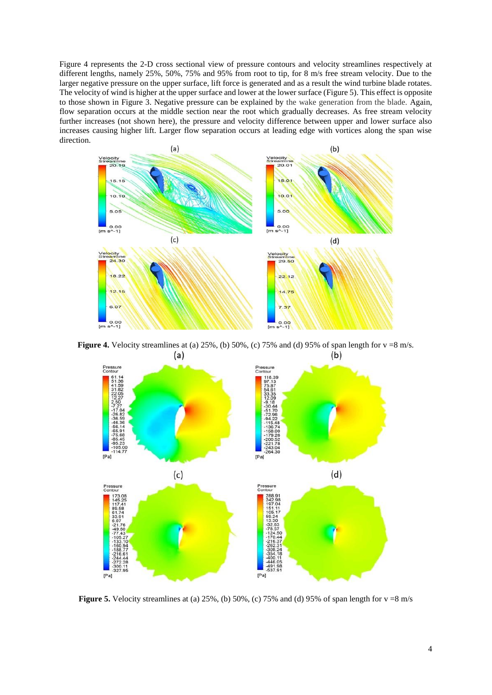Figure 4 represents the 2-D cross sectional view of pressure contours and velocity streamlines respectively at different lengths, namely 25%, 50%, 75% and 95% from root to tip, for 8 m/s free stream velocity. Due to the larger negative pressure on the upper surface, lift force is generated and as a result the wind turbine blade rotates. The velocity of wind is higher at the upper surface and lower at the lower surface (Figure 5). This effect is opposite to those shown in Figure 3. Negative pressure can be explained by the wake generation from the blade. Again, flow separation occurs at the middle section near the root which gradually decreases. As free stream velocity further increases (not shown here), the pressure and velocity difference between upper and lower surface also increases causing higher lift. Larger flow separation occurs at leading edge with vortices along the span wise direction.



**Figure 4.** Velocity streamlines at (a) 25%, (b) 50%, (c) 75% and (d) 95% of span length for v =8 m/s.



**Figure 5.** Velocity streamlines at (a)  $25\%$ , (b)  $50\%$ , (c)  $75\%$  and (d)  $95\%$  of span length for  $v = 8$  m/s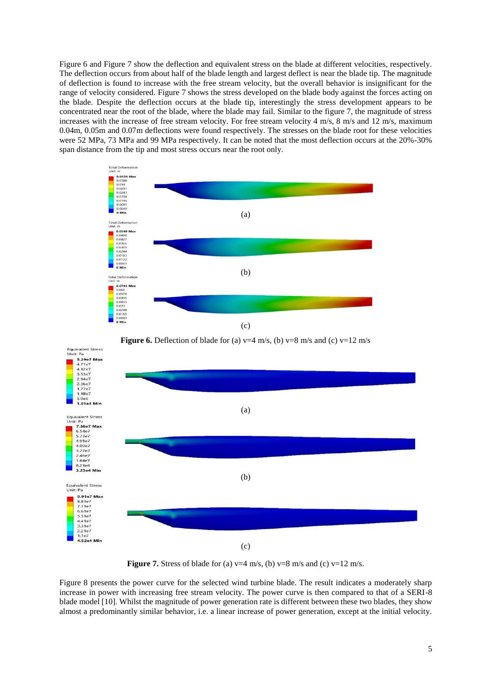Figure 6 and Figure 7 show the deflection and equivalent stress on the blade at different velocities, respectively. The deflection occurs from about half of the blade length and largest deflect is near the blade tip. The magnitude of deflection is found to increase with the free stream velocity, but the overall behavior is insignificant for the range of velocity considered. Figure 7 shows the stress developed on the blade body against the forces acting on the blade. Despite the deflection occurs at the blade tip, interestingly the stress development appears to be concentrated near the root of the blade, where the blade may fail. Similar to the figure 7, the magnitude of stress increases with the increase of free stream velocity. For free stream velocity 4 m/s, 8 m/s and 12 m/s, maximum 0.04m, 0.05m and 0.07m deflections were found respectively. The stresses on the blade root for these velocities were 52 MPa, 73 MPa and 99 MPa respectively. It can be noted that the most deflection occurs at the 20%-30% span distance from the tip and most stress occurs near the root only.







**Figure 7.** Stress of blade for (a)  $v=4$  m/s, (b)  $v=8$  m/s and (c)  $v=12$  m/s.

Figure 8 presents the power curve for the selected wind turbine blade. The result indicates a moderately sharp increase in power with increasing free stream velocity. The power curve is then compared to that of a SERI-8 blade model [10]. Whilst the magnitude of power generation rate is different between these two blades, they show almost a predominantly similar behavior, i.e. a linear increase of power generation, except at the initial velocity.